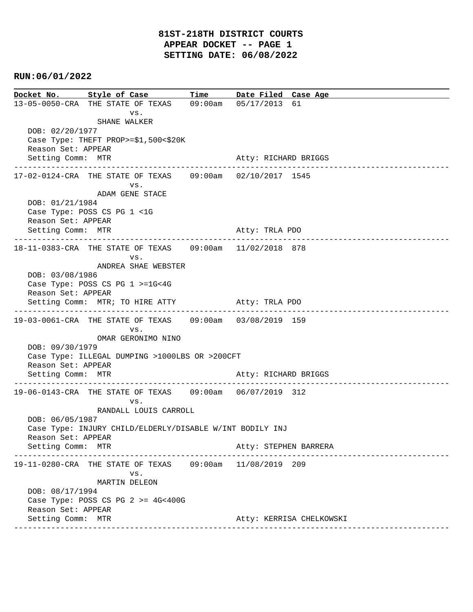```
Docket No. Style of Case Time Date Filed Case Age
13-05-0050-CRA THE STATE OF TEXAS 09:00am 05/17/2013 61 
 vs. 
               SHANE WALKER
   DOB: 02/20/1977 
   Case Type: THEFT PROP>=$1,500<$20K 
   Reason Set: APPEAR 
  Setting Comm: MTR Atty: RICHARD BRIGGS
  ----------------------------------------------------------------------------------------------
17-02-0124-CRA THE STATE OF TEXAS 09:00am 02/10/2017 1545 
 vs. 
               ADAM GENE STACE
   DOB: 01/21/1984 
   Case Type: POSS CS PG 1 <1G 
   Reason Set: APPEAR 
  Setting Comm: MTR Atty: TRLA PDO
----------------------------------------------------------------------------------------------
18-11-0383-CRA THE STATE OF TEXAS 09:00am 11/02/2018 878 
 vs. 
               ANDREA SHAE WEBSTER
   DOB: 03/08/1986 
   Case Type: POSS CS PG 1 >=1G<4G 
   Reason Set: APPEAR 
  Setting Comm: MTR; TO HIRE ATTY Atty: TRLA PDO
  ----------------------------------------------------------------------------------------------
19-03-0061-CRA THE STATE OF TEXAS 09:00am 03/08/2019 159 
 vs. 
                OMAR GERONIMO NINO
   DOB: 09/30/1979 
   Case Type: ILLEGAL DUMPING >1000LBS OR >200CFT 
   Reason Set: APPEAR 
  Setting Comm: MTR Atty: RICHARD BRIGGS
  ----------------------------------------------------------------------------------------------
19-06-0143-CRA THE STATE OF TEXAS 09:00am 06/07/2019 312 
 vs. 
               RANDALL LOUIS CARROLL
   DOB: 06/05/1987 
   Case Type: INJURY CHILD/ELDERLY/DISABLE W/INT BODILY INJ 
   Reason Set: APPEAR 
  Setting Comm: MTR Atty: STEPHEN BARRERA
  ----------------------------------------------------------------------------------------------
19-11-0280-CRA THE STATE OF TEXAS 09:00am 11/08/2019 209 
 vs. 
               MARTIN DELEON
   DOB: 08/17/1994 
   Case Type: POSS CS PG 2 >= 4G<400G 
   Reason Set: APPEAR 
  Setting Comm: MTR Atty: KERRISA CHELKOWSKI
 ----------------------------------------------------------------------------------------------
```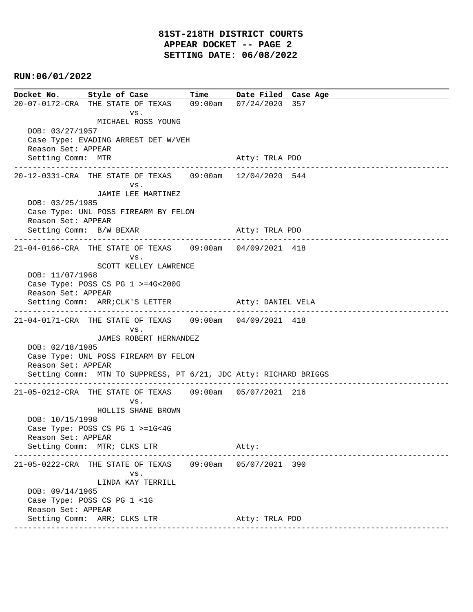**Docket No. Style of Case Time Date Filed Case Age**  20-07-0172-CRA THE STATE OF TEXAS 09:00am 07/24/2020 357 vs. MICHAEL ROSS YOUNG DOB: 03/27/1957 Case Type: EVADING ARREST DET W/VEH Reason Set: APPEAR Setting Comm: MTR Atty: TRLA PDO ---------------------------------------------------------------------------------------------- 20-12-0331-CRA THE STATE OF TEXAS 09:00am 12/04/2020 544 vs. JAMIE LEE MARTINEZ DOB: 03/25/1985 Case Type: UNL POSS FIREARM BY FELON Reason Set: APPEAR Setting Comm: B/W BEXAR Atty: TRLA PDO ---------------------------------------------------------------------------------------------- 21-04-0166-CRA THE STATE OF TEXAS 09:00am 04/09/2021 418 vs. SCOTT KELLEY LAWRENCE DOB: 11/07/1968 Case Type: POSS CS PG 1 >=4G<200G Reason Set: APPEAR Setting Comm: ARR; CLK'S LETTER Atty: DANIEL VELA ---------------------------------------------------------------------------------------------- 21-04-0171-CRA THE STATE OF TEXAS 09:00am 04/09/2021 418 vs. JAMES ROBERT HERNANDEZ DOB: 02/18/1985 Case Type: UNL POSS FIREARM BY FELON Reason Set: APPEAR Setting Comm: MTN TO SUPPRESS, PT 6/21, JDC Atty: RICHARD BRIGGS ---------------------------------------------------------------------------------------------- 21-05-0212-CRA THE STATE OF TEXAS 09:00am 05/07/2021 216 vs. HOLLIS SHANE BROWN DOB: 10/15/1998 Case Type: POSS CS PG 1 >=1G<4G Reason Set: APPEAR Setting Comm: MTR; CLKS LTR Atty: ---------------------------------------------------------------------------------------------- 21-05-0222-CRA THE STATE OF TEXAS 09:00am 05/07/2021 390 vs. LINDA KAY TERRILL DOB: 09/14/1965 Case Type: POSS CS PG 1 <1G Reason Set: APPEAR Setting Comm: ARR; CLKS LTR Atty: TRLA PDO ----------------------------------------------------------------------------------------------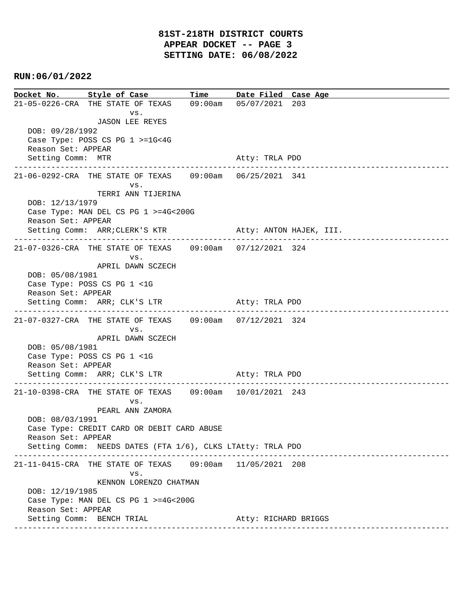**Docket No. Style of Case Time Date Filed Case Age**  21-05-0226-CRA THE STATE OF TEXAS 09:00am 05/07/2021 203 vs. JASON LEE REYES DOB: 09/28/1992 Case Type: POSS CS PG 1 >=1G<4G Reason Set: APPEAR Setting Comm: MTR Atty: TRLA PDO ---------------------------------------------------------------------------------------------- 21-06-0292-CRA THE STATE OF TEXAS 09:00am 06/25/2021 341 vs. TERRI ANN TIJERINA DOB: 12/13/1979 Case Type: MAN DEL CS PG 1 >=4G<200G Reason Set: APPEAR Setting Comm: ARR; CLERK'S KTR Atty: ANTON HAJEK, III. ---------------------------------------------------------------------------------------------- 21-07-0326-CRA THE STATE OF TEXAS 09:00am 07/12/2021 324 vs. APRIL DAWN SCZECH DOB: 05/08/1981 Case Type: POSS CS PG 1 <1G Reason Set: APPEAR Setting Comm: ARR; CLK'S LTR Atty: TRLA PDO ---------------------------------------------------------------------------------------------- 21-07-0327-CRA THE STATE OF TEXAS 09:00am 07/12/2021 324 vs. APRIL DAWN SCZECH DOB: 05/08/1981 Case Type: POSS CS PG 1 <1G Reason Set: APPEAR Setting Comm: ARR; CLK'S LTR Atty: TRLA PDO ---------------------------------------------------------------------------------------------- 21-10-0398-CRA THE STATE OF TEXAS 09:00am 10/01/2021 243 vs. PEARL ANN ZAMORA DOB: 08/03/1991 Case Type: CREDIT CARD OR DEBIT CARD ABUSE Reason Set: APPEAR Setting Comm: NEEDS DATES (FTA 1/6), CLKS LTAtty: TRLA PDO ---------------------------------------------------------------------------------------------- 21-11-0415-CRA THE STATE OF TEXAS 09:00am 11/05/2021 208 vs. KENNON LORENZO CHATMAN DOB: 12/19/1985 Case Type: MAN DEL CS PG 1 >=4G<200G Reason Set: APPEAR Setting Comm: BENCH TRIAL **Atty: RICHARD BRIGGS** ----------------------------------------------------------------------------------------------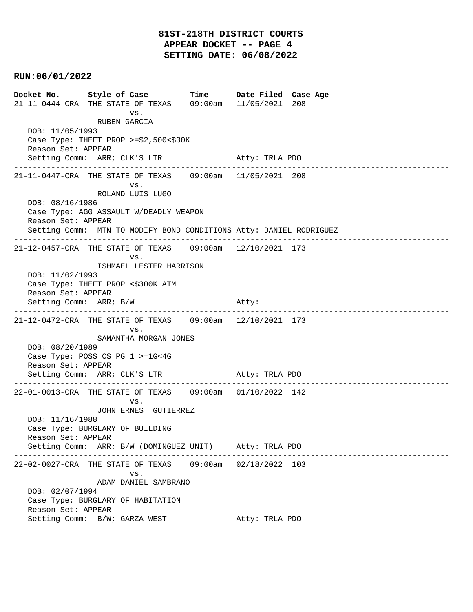**Docket No. Style of Case Time Date Filed Case Age**  21-11-0444-CRA THE STATE OF TEXAS 09:00am 11/05/2021 208 vs. RUBEN GARCIA DOB: 11/05/1993 Case Type: THEFT PROP >=\$2,500<\$30K Reason Set: APPEAR Setting Comm: ARR; CLK'S LTR Atty: TRLA PDO ---------------------------------------------------------------------------------------------- 21-11-0447-CRA THE STATE OF TEXAS 09:00am 11/05/2021 208 vs. ROLAND LUIS LUGO DOB: 08/16/1986 Case Type: AGG ASSAULT W/DEADLY WEAPON Reason Set: APPEAR Setting Comm: MTN TO MODIFY BOND CONDITIONS Atty: DANIEL RODRIGUEZ ---------------------------------------------------------------------------------------------- 21-12-0457-CRA THE STATE OF TEXAS 09:00am 12/10/2021 173 vs. ISHMAEL LESTER HARRISON DOB: 11/02/1993 Case Type: THEFT PROP <\$300K ATM Reason Set: APPEAR Setting Comm: ARR; B/W Atty: ---------------------------------------------------------------------------------------------- 21-12-0472-CRA THE STATE OF TEXAS 09:00am 12/10/2021 173 vs. SAMANTHA MORGAN JONES DOB: 08/20/1989 Case Type: POSS CS PG 1 >=1G<4G Reason Set: APPEAR Setting Comm: ARR; CLK'S LTR Atty: TRLA PDO ---------------------------------------------------------------------------------------------- 22-01-0013-CRA THE STATE OF TEXAS 09:00am 01/10/2022 142 vs. JOHN ERNEST GUTIERREZ DOB: 11/16/1988 Case Type: BURGLARY OF BUILDING Reason Set: APPEAR Setting Comm: ARR; B/W (DOMINGUEZ UNIT) Atty: TRLA PDO ---------------------------------------------------------------------------------------------- 22-02-0027-CRA THE STATE OF TEXAS 09:00am 02/18/2022 103 vs. ADAM DANIEL SAMBRANO DOB: 02/07/1994 Case Type: BURGLARY OF HABITATION Reason Set: APPEAR Setting Comm: B/W; GARZA WEST Atty: TRLA PDO ----------------------------------------------------------------------------------------------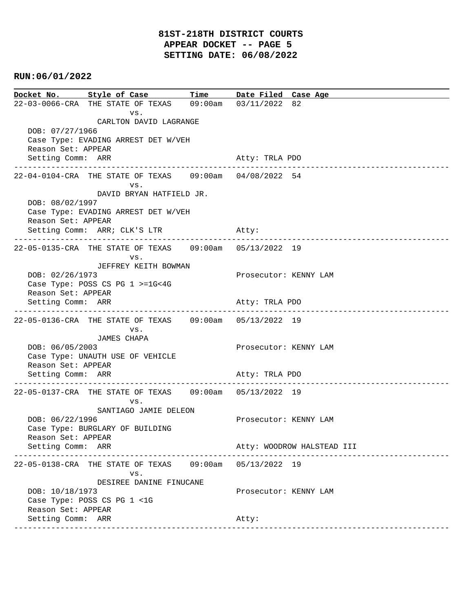### **81ST-218TH DISTRICT COURTS APPEAR DOCKET -- PAGE 5 SETTING DATE: 06/08/2022**

### **RUN:06/01/2022**

**Docket No. Style of Case Time Date Filed Case Age**  22-03-0066-CRA THE STATE OF TEXAS 09:00am 03/11/2022 82 vs. CARLTON DAVID LAGRANGE DOB: 07/27/1966 Case Type: EVADING ARREST DET W/VEH Reason Set: APPEAR Setting Comm: ARR Atty: TRLA PDO ---------------------------------------------------------------------------------------------- 22-04-0104-CRA THE STATE OF TEXAS 09:00am 04/08/2022 54 vs. DAVID BRYAN HATFIELD JR. DOB: 08/02/1997 Case Type: EVADING ARREST DET W/VEH Reason Set: APPEAR Setting Comm: ARR; CLK'S LTR Atty: ---------------------------------------------------------------------------------------------- 22-05-0135-CRA THE STATE OF TEXAS 09:00am 05/13/2022 19 vs. JEFFREY KEITH BOWMAN DOB: 02/26/1973 Prosecutor: KENNY LAM Case Type: POSS CS PG 1 >=1G<4G Reason Set: APPEAR Setting Comm: ARR Atty: TRLA PDO ---------------------------------------------------------------------------------------------- 22-05-0136-CRA THE STATE OF TEXAS 09:00am 05/13/2022 19 vs. JAMES CHAPA DOB: 06/05/2003 Prosecutor: KENNY LAM Case Type: UNAUTH USE OF VEHICLE Reason Set: APPEAR Setting Comm: ARR Atty: TRLA PDO ---------------------------------------------------------------------------------------------- 22-05-0137-CRA THE STATE OF TEXAS 09:00am 05/13/2022 19 vs. SANTIAGO JAMIE DELEON DOB:  $06/22/1996$  Prosecutor: KENNY LAM Case Type: BURGLARY OF BUILDING Reason Set: APPEAR Setting Comm: ARR Atty: WOODROW HALSTEAD III ---------------------------------------------------------------------------------------------- 22-05-0138-CRA THE STATE OF TEXAS 09:00am 05/13/2022 19 vs. DESIREE DANINE FINUCANE DOB: 10/18/1973 Prosecutor: KENNY LAM Case Type: POSS CS PG 1 <1G Reason Set: APPEAR Setting Comm: ARR Atty: ----------------------------------------------------------------------------------------------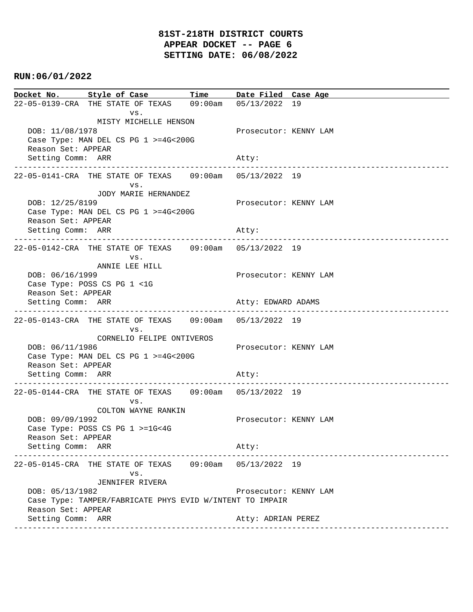# **81ST-218TH DISTRICT COURTS APPEAR DOCKET -- PAGE 6 SETTING DATE: 06/08/2022**

## **RUN:06/01/2022**

| Docket No. Style of Case Time Date Filed Case Age                                                                 |                                               |                    |                       |                                   |
|-------------------------------------------------------------------------------------------------------------------|-----------------------------------------------|--------------------|-----------------------|-----------------------------------|
| 22-05-0139-CRA THE STATE OF TEXAS 09:00am 05/13/2022 19                                                           |                                               |                    |                       |                                   |
| VS.<br>MISTY MICHELLE HENSON<br>DOB: 11/08/1978<br>Case Type: MAN DEL CS PG 1 >=4G<200G<br>Reason Set: APPEAR     |                                               |                    | Prosecutor: KENNY LAM |                                   |
| Setting Comm: ARR                                                                                                 |                                               |                    | Atty:                 |                                   |
| 22-05-0141-CRA THE STATE OF TEXAS 09:00am 05/13/2022 19                                                           | --------------------------------------<br>VS. |                    |                       | --------------------------------- |
| JODY MARIE HERNANDEZ<br>DOB: 12/25/8199<br>Case Type: MAN DEL CS PG 1 >=4G<200G<br>Reason Set: APPEAR             |                                               |                    | Prosecutor: KENNY LAM |                                   |
| Setting Comm: ARR                                                                                                 |                                               |                    | Atty:                 |                                   |
|                                                                                                                   | VS.                                           |                    |                       |                                   |
| ANNIE LEE HILL<br>DOB: 06/16/1999<br>Case Type: POSS CS PG 1 <1G                                                  |                                               |                    | Prosecutor: KENNY LAM |                                   |
| Reason Set: APPEAR<br>Setting Comm: ARR                                                                           |                                               | Atty: EDWARD ADAMS |                       |                                   |
|                                                                                                                   |                                               |                    |                       |                                   |
| VS.<br>CORNELIO FELIPE ONTIVEROS<br>DOB: 06/11/1986<br>Case Type: MAN DEL CS PG 1 >=4G<200G<br>Reason Set: APPEAR |                                               |                    | Prosecutor: KENNY LAM |                                   |
| Setting Comm: ARR                                                                                                 |                                               |                    | Atty:                 |                                   |
|                                                                                                                   | VS.                                           |                    |                       |                                   |
| COLTON WAYNE RANKIN<br>DOB: 09/09/1992<br>Case Type: POSS CS PG $1$ >=1G<4G<br>Reason Set: APPEAR                 |                                               |                    | Prosecutor: KENNY LAM |                                   |
| Setting Comm: ARR                                                                                                 |                                               |                    | Atty:                 |                                   |
| 22-05-0145-CRA THE STATE OF TEXAS 09:00am 05/13/2022 19                                                           | VS.<br>JENNIFER RIVERA                        |                    |                       |                                   |
| DOB: 05/13/1982<br>Case Type: TAMPER/FABRICATE PHYS EVID W/INTENT TO IMPAIR<br>Reason Set: APPEAR                 |                                               |                    | Prosecutor: KENNY LAM |                                   |
| Setting Comm: ARR                                                                                                 | -----------------------------                 |                    | Atty: ADRIAN PEREZ    |                                   |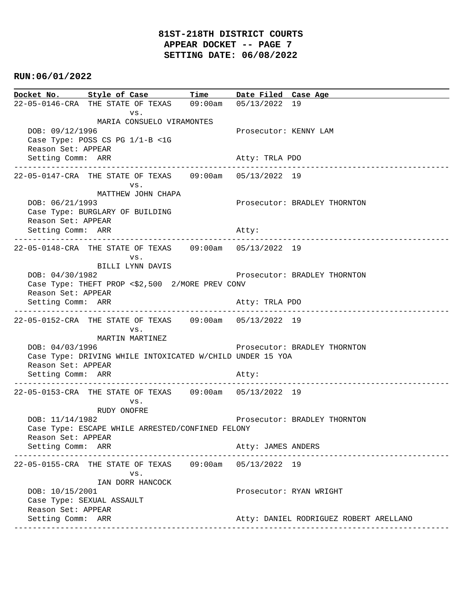|                                                                                                          | Docket No. Style of Case Time Date Filed Case Age                            |  |                              |                                        |
|----------------------------------------------------------------------------------------------------------|------------------------------------------------------------------------------|--|------------------------------|----------------------------------------|
|                                                                                                          | 22-05-0146-CRA THE STATE OF TEXAS 09:00am 05/13/2022 19                      |  |                              |                                        |
| VS.<br>MARIA CONSUELO VIRAMONTES<br>DOB: 09/12/1996<br>Case Type: POSS CS PG 1/1-B <1G                   |                                                                              |  | Prosecutor: KENNY LAM        |                                        |
| Reason Set: APPEAR<br>Setting Comm: ARR                                                                  |                                                                              |  | Atty: TRLA PDO               |                                        |
|                                                                                                          | VS.                                                                          |  |                              |                                        |
| DOB: 06/21/1993<br>Reason Set: APPEAR                                                                    | MATTHEW JOHN CHAPA<br>Case Type: BURGLARY OF BUILDING                        |  |                              | Prosecutor: BRADLEY THORNTON           |
| Setting Comm: ARR                                                                                        |                                                                              |  | Atty:                        |                                        |
|                                                                                                          | 22-05-0148-CRA THE STATE OF TEXAS 09:00am 05/13/2022 19<br>VS.               |  |                              |                                        |
| DOB: 04/30/1982<br>Reason Set: APPEAR                                                                    | BILLI LYNN DAVIS<br>Case Type: THEFT PROP <\$2,500 2/MORE PREV CONV          |  |                              | Prosecutor: BRADLEY THORNTON           |
| Setting Comm: ARR                                                                                        |                                                                              |  | Atty: TRLA PDO               |                                        |
|                                                                                                          | 22-05-0152-CRA THE STATE OF TEXAS 09:00am 05/13/2022 19<br>VS.               |  |                              |                                        |
| DOB: 04/03/1996<br>Reason Set: APPEAR                                                                    | MARTIN MARTINEZ<br>Case Type: DRIVING WHILE INTOXICATED W/CHILD UNDER 15 YOA |  |                              | Prosecutor: BRADLEY THORNTON           |
| Setting Comm: ARR                                                                                        |                                                                              |  | Atty:                        |                                        |
|                                                                                                          | 22-05-0153-CRA THE STATE OF TEXAS 09:00am 05/13/2022 19<br>VS.               |  |                              | -------------------------------        |
| RUDY ONOFRE<br>DOB: 11/14/1982<br>Case Type: ESCAPE WHILE ARRESTED/CONFINED FELONY<br>Reason Set: APPEAR |                                                                              |  | Prosecutor: BRADLEY THORNTON |                                        |
| Setting Comm: ARR                                                                                        |                                                                              |  | Atty: JAMES ANDERS           |                                        |
|                                                                                                          | 22-05-0155-CRA THE STATE OF TEXAS 09:00am 05/13/2022 19<br>VS.               |  |                              |                                        |
| IAN DORR HANCOCK<br>DOB: 10/15/2001<br>Case Type: SEXUAL ASSAULT<br>Reason Set: APPEAR                   |                                                                              |  |                              | Prosecutor: RYAN WRIGHT                |
| Setting Comm: ARR                                                                                        |                                                                              |  |                              | Atty: DANIEL RODRIGUEZ ROBERT ARELLANO |
|                                                                                                          |                                                                              |  |                              |                                        |